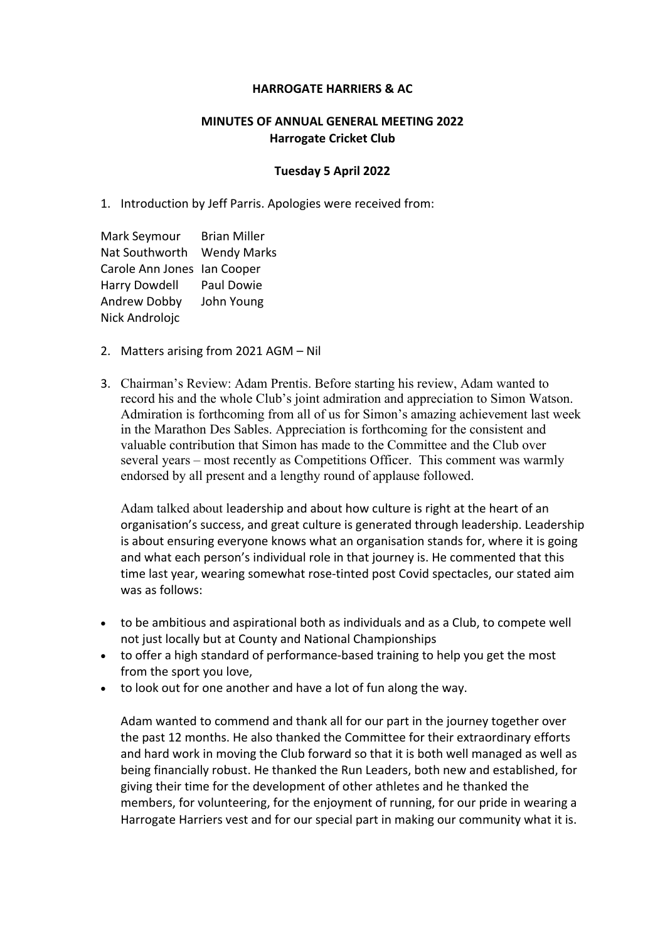## **HARROGATE HARRIERS & AC**

## **MINUTES OF ANNUAL GENERAL MEETING 2022 Harrogate Cricket Club**

## **Tuesday 5 April 2022**

1. Introduction by Jeff Parris. Apologies were received from:

Mark Seymour Brian Miller Nat Southworth Wendy Marks Carole Ann Jones Ian Cooper Harry Dowdell Paul Dowie Andrew Dobby John Young Nick Androlojc

- 2. Matters arising from 2021 AGM Nil
- 3. Chairman's Review: Adam Prentis. Before starting his review, Adam wanted to record his and the whole Club's joint admiration and appreciation to Simon Watson. Admiration is forthcoming from all of us for Simon's amazing achievement last week in the Marathon Des Sables. Appreciation is forthcoming for the consistent and valuable contribution that Simon has made to the Committee and the Club over several years – most recently as Competitions Officer. This comment was warmly endorsed by all present and a lengthy round of applause followed.

Adam talked about leadership and about how culture is right at the heart of an organisation's success, and great culture is generated through leadership. Leadership is about ensuring everyone knows what an organisation stands for, where it is going and what each person's individual role in that journey is. He commented that this time last year, wearing somewhat rose-tinted post Covid spectacles, our stated aim was as follows:

- to be ambitious and aspirational both as individuals and as a Club, to compete well not just locally but at County and National Championships
- to offer a high standard of performance-based training to help you get the most from the sport you love,
- to look out for one another and have a lot of fun along the way.

Adam wanted to commend and thank all for our part in the journey together over the past 12 months. He also thanked the Committee for their extraordinary efforts and hard work in moving the Club forward so that it is both well managed as well as being financially robust. He thanked the Run Leaders, both new and established, for giving their time for the development of other athletes and he thanked the members, for volunteering, for the enjoyment of running, for our pride in wearing a Harrogate Harriers vest and for our special part in making our community what it is.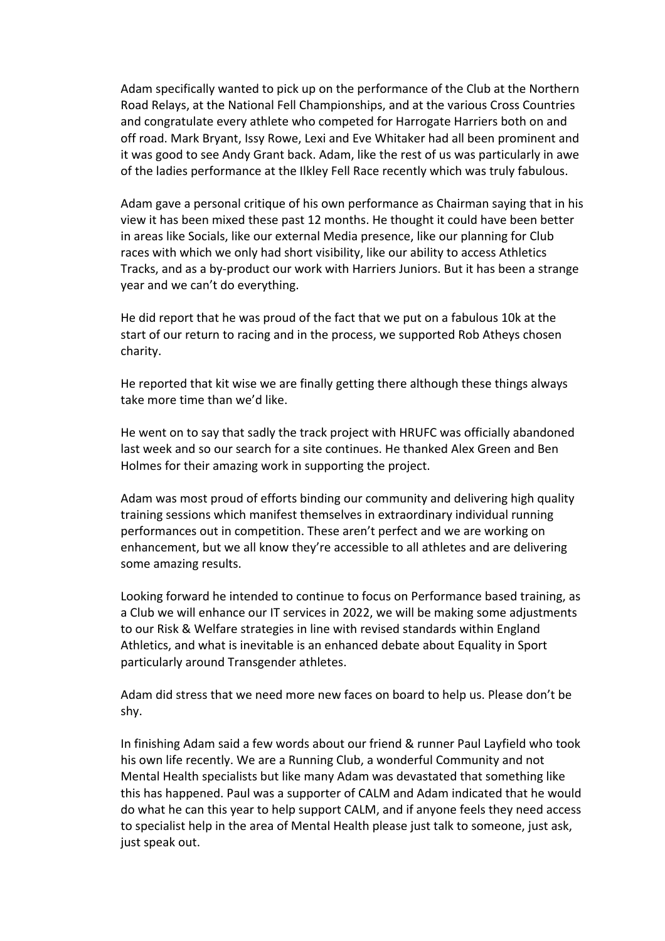Adam specifically wanted to pick up on the performance of the Club at the Northern Road Relays, at the National Fell Championships, and at the various Cross Countries and congratulate every athlete who competed for Harrogate Harriers both on and off road. Mark Bryant, Issy Rowe, Lexi and Eve Whitaker had all been prominent and it was good to see Andy Grant back. Adam, like the rest of us was particularly in awe of the ladies performance at the Ilkley Fell Race recently which was truly fabulous.

Adam gave a personal critique of his own performance as Chairman saying that in his view it has been mixed these past 12 months. He thought it could have been better in areas like Socials, like our external Media presence, like our planning for Club races with which we only had short visibility, like our ability to access Athletics Tracks, and as a by-product our work with Harriers Juniors. But it has been a strange year and we can't do everything.

He did report that he was proud of the fact that we put on a fabulous 10k at the start of our return to racing and in the process, we supported Rob Atheys chosen charity.

He reported that kit wise we are finally getting there although these things always take more time than we'd like.

He went on to say that sadly the track project with HRUFC was officially abandoned last week and so our search for a site continues. He thanked Alex Green and Ben Holmes for their amazing work in supporting the project.

Adam was most proud of efforts binding our community and delivering high quality training sessions which manifest themselves in extraordinary individual running performances out in competition. These aren't perfect and we are working on enhancement, but we all know they're accessible to all athletes and are delivering some amazing results.

Looking forward he intended to continue to focus on Performance based training, as a Club we will enhance our IT services in 2022, we will be making some adjustments to our Risk & Welfare strategies in line with revised standards within England Athletics, and what is inevitable is an enhanced debate about Equality in Sport particularly around Transgender athletes.

Adam did stress that we need more new faces on board to help us. Please don't be shy.

In finishing Adam said a few words about our friend & runner Paul Layfield who took his own life recently. We are a Running Club, a wonderful Community and not Mental Health specialists but like many Adam was devastated that something like this has happened. Paul was a supporter of CALM and Adam indicated that he would do what he can this year to help support CALM, and if anyone feels they need access to specialist help in the area of Mental Health please just talk to someone, just ask, just speak out.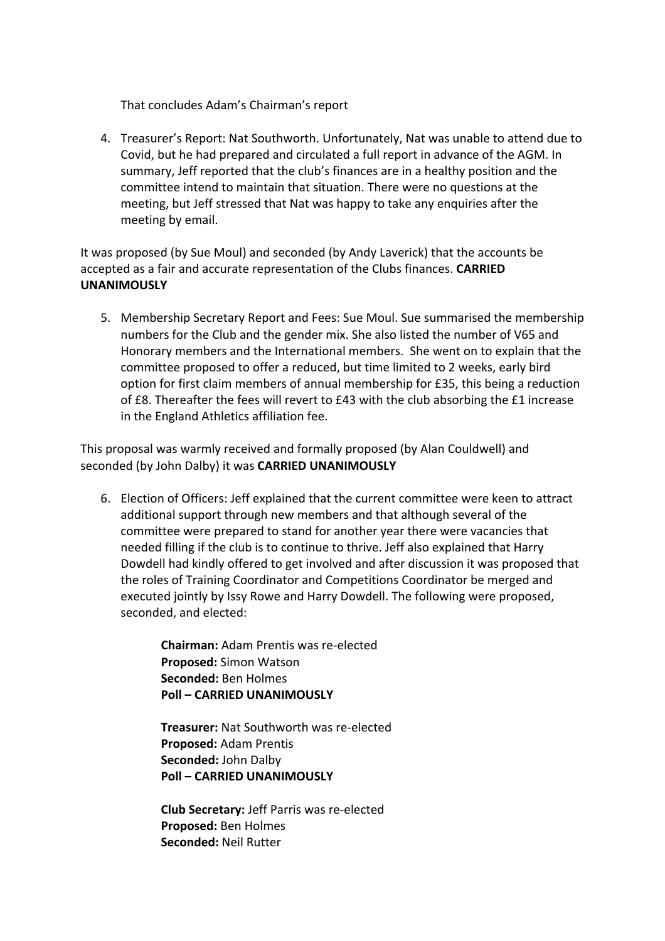That concludes Adam's Chairman's report

4. Treasurer's Report: Nat Southworth. Unfortunately, Nat was unable to attend due to Covid, but he had prepared and circulated a full report in advance of the AGM. In summary, Jeff reported that the club's finances are in a healthy position and the committee intend to maintain that situation. There were no questions at the meeting, but Jeff stressed that Nat was happy to take any enquiries after the meeting by email.

It was proposed (by Sue Moul) and seconded (by Andy Laverick) that the accounts be accepted as a fair and accurate representation of the Clubs finances. **CARRIED UNANIMOUSLY**

5. Membership Secretary Report and Fees: Sue Moul. Sue summarised the membership numbers for the Club and the gender mix. She also listed the number of V65 and Honorary members and the International members. She went on to explain that the committee proposed to offer a reduced, but time limited to 2 weeks, early bird option for first claim members of annual membership for £35, this being a reduction of £8. Thereafter the fees will revert to £43 with the club absorbing the £1 increase in the England Athletics affiliation fee.

This proposal was warmly received and formally proposed (by Alan Couldwell) and seconded (by John Dalby) it was **CARRIED UNANIMOUSLY**

6. Election of Officers: Jeff explained that the current committee were keen to attract additional support through new members and that although several of the committee were prepared to stand for another year there were vacancies that needed filling if the club is to continue to thrive. Jeff also explained that Harry Dowdell had kindly offered to get involved and after discussion it was proposed that the roles of Training Coordinator and Competitions Coordinator be merged and executed jointly by Issy Rowe and Harry Dowdell. The following were proposed, seconded, and elected:

> **Chairman:** Adam Prentis was re-elected **Proposed:** Simon Watson **Seconded:** Ben Holmes **Poll – CARRIED UNANIMOUSLY**

**Treasurer:** Nat Southworth was re-elected **Proposed:** Adam Prentis **Seconded:** John Dalby **Poll – CARRIED UNANIMOUSLY**

**Club Secretary:** Jeff Parris was re-elected **Proposed:** Ben Holmes **Seconded:** Neil Rutter